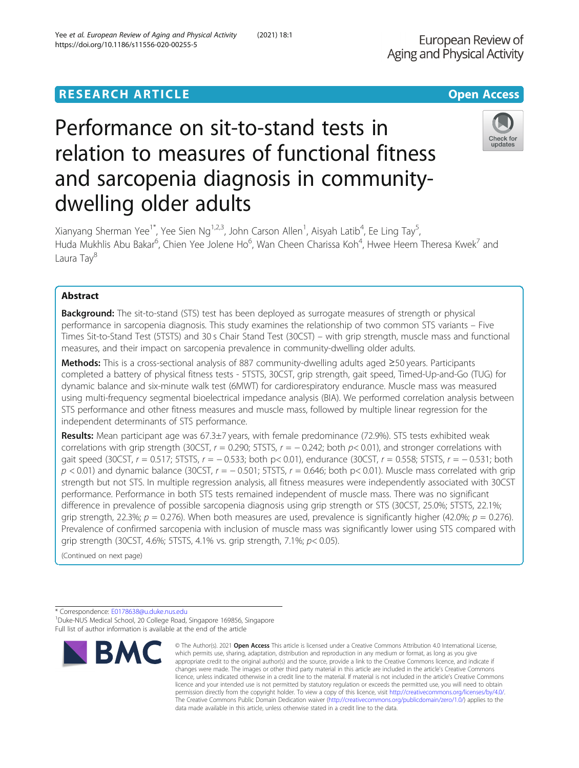# **RESEARCH ARTICLE Example 2014 12:30 The Contract of Contract ACCESS**

# Performance on sit-to-stand tests in relation to measures of functional fitness and sarcopenia diagnosis in communitydwelling older adults

Xianyang Sherman Yee<sup>1\*</sup>, Yee Sien Ng<sup>1,2,3</sup>, John Carson Allen<sup>1</sup>, Aisyah Latib<sup>4</sup>, Ee Ling Tay<sup>5</sup> , Huda Mukhlis Abu Bakar<sup>6</sup>, Chien Yee Jolene Ho<sup>6</sup>, Wan Cheen Charissa Koh<sup>4</sup>, Hwee Heem Theresa Kwek<sup>7</sup> and Laura Tav<sup>8</sup>

# Abstract

**Background:** The sit-to-stand (STS) test has been deployed as surrogate measures of strength or physical performance in sarcopenia diagnosis. This study examines the relationship of two common STS variants – Five Times Sit-to-Stand Test (5TSTS) and 30 s Chair Stand Test (30CST) – with grip strength, muscle mass and functional measures, and their impact on sarcopenia prevalence in community-dwelling older adults.

Methods: This is a cross-sectional analysis of 887 community-dwelling adults aged ≥50 years. Participants completed a battery of physical fitness tests - 5TSTS, 30CST, grip strength, gait speed, Timed-Up-and-Go (TUG) for dynamic balance and six-minute walk test (6MWT) for cardiorespiratory endurance. Muscle mass was measured using multi-frequency segmental bioelectrical impedance analysis (BIA). We performed correlation analysis between STS performance and other fitness measures and muscle mass, followed by multiple linear regression for the independent determinants of STS performance.

Results: Mean participant age was 67.3±7 years, with female predominance (72.9%). STS tests exhibited weak correlations with grip strength (30CST,  $r = 0.290$ ; 5TSTS,  $r = -0.242$ ; both  $p < 0.01$ ), and stronger correlations with gait speed (30CST,  $r = 0.517$ ; 5TSTS,  $r = -0.533$ ; both p< 0.01), endurance (30CST,  $r = 0.558$ ; 5TSTS,  $r = -0.531$ ; both  $p$  < 0.01) and dynamic balance (30CST,  $r = -0.501$ ; 5TSTS,  $r = 0.646$ ; both p< 0.01). Muscle mass correlated with grip strength but not STS. In multiple regression analysis, all fitness measures were independently associated with 30CST performance. Performance in both STS tests remained independent of muscle mass. There was no significant difference in prevalence of possible sarcopenia diagnosis using grip strength or STS (30CST, 25.0%; 5TSTS, 22.1%; grip strength, 22.3%;  $p = 0.276$ ). When both measures are used, prevalence is significantly higher (42.0%;  $p = 0.276$ ). Prevalence of confirmed sarcopenia with inclusion of muscle mass was significantly lower using STS compared with grip strength (30CST, 4.6%; 5TSTS, 4.1% vs. grip strength, 7.1%; p< 0.05).

(Continued on next page)

**BMC** 





Check for updates

<sup>\*</sup> Correspondence: [E0178638@u.duke.nus.edu](mailto:E0178638@u.duke.nus.edu) <sup>1</sup> <sup>1</sup>Duke-NUS Medical School, 20 College Road, Singapore 169856, Singapore Full list of author information is available at the end of the article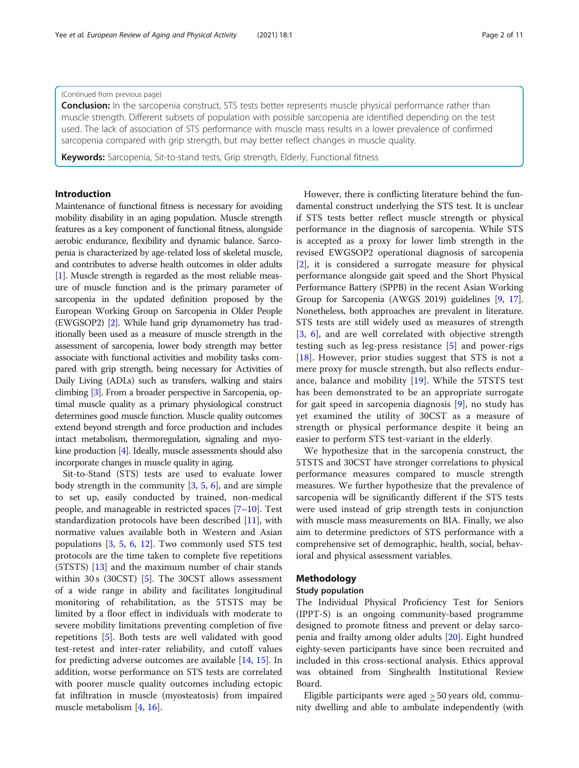#### (Continued from previous page)

**Conclusion:** In the sarcopenia construct, STS tests better represents muscle physical performance rather than muscle strength. Different subsets of population with possible sarcopenia are identified depending on the test used. The lack of association of STS performance with muscle mass results in a lower prevalence of confirmed sarcopenia compared with grip strength, but may better reflect changes in muscle quality.

Keywords: Sarcopenia, Sit-to-stand tests, Grip strength, Elderly, Functional fitness

## Introduction

Maintenance of functional fitness is necessary for avoiding mobility disability in an aging population. Muscle strength features as a key component of functional fitness, alongside aerobic endurance, flexibility and dynamic balance. Sarcopenia is characterized by age-related loss of skeletal muscle, and contributes to adverse health outcomes in older adults [[1](#page-8-0)]. Muscle strength is regarded as the most reliable measure of muscle function and is the primary parameter of sarcopenia in the updated definition proposed by the European Working Group on Sarcopenia in Older People (EWGSOP2) [[2](#page-8-0)]. While hand grip dynamometry has traditionally been used as a measure of muscle strength in the assessment of sarcopenia, lower body strength may better associate with functional activities and mobility tasks compared with grip strength, being necessary for Activities of Daily Living (ADLs) such as transfers, walking and stairs climbing [\[3](#page-8-0)]. From a broader perspective in Sarcopenia, optimal muscle quality as a primary physiological construct determines good muscle function. Muscle quality outcomes extend beyond strength and force production and includes intact metabolism, thermoregulation, signaling and myokine production [[4](#page-8-0)]. Ideally, muscle assessments should also incorporate changes in muscle quality in aging.

Sit-to-Stand (STS) tests are used to evaluate lower body strength in the community  $[3, 5, 6]$  $[3, 5, 6]$  $[3, 5, 6]$  $[3, 5, 6]$  $[3, 5, 6]$ , and are simple to set up, easily conducted by trained, non-medical people, and manageable in restricted spaces [\[7](#page-8-0)–[10](#page-8-0)]. Test standardization protocols have been described [\[11](#page-8-0)], with normative values available both in Western and Asian populations [[3,](#page-8-0) [5](#page-8-0), [6](#page-8-0), [12](#page-8-0)]. Two commonly used STS test protocols are the time taken to complete five repetitions (5TSTS) [[13](#page-8-0)] and the maximum number of chair stands within 30 s (30CST) [[5](#page-8-0)]. The 30CST allows assessment of a wide range in ability and facilitates longitudinal monitoring of rehabilitation, as the 5TSTS may be limited by a floor effect in individuals with moderate to severe mobility limitations preventing completion of five repetitions [[5\]](#page-8-0). Both tests are well validated with good test-retest and inter-rater reliability, and cutoff values for predicting adverse outcomes are available [[14](#page-9-0), [15](#page-9-0)]. In addition, worse performance on STS tests are correlated with poorer muscle quality outcomes including ectopic fat infiltration in muscle (myosteatosis) from impaired muscle metabolism [[4,](#page-8-0) [16\]](#page-9-0).

However, there is conflicting literature behind the fundamental construct underlying the STS test. It is unclear if STS tests better reflect muscle strength or physical performance in the diagnosis of sarcopenia. While STS is accepted as a proxy for lower limb strength in the revised EWGSOP2 operational diagnosis of sarcopenia [[2\]](#page-8-0), it is considered a surrogate measure for physical performance alongside gait speed and the Short Physical Performance Battery (SPPB) in the recent Asian Working Group for Sarcopenia (AWGS 2019) guidelines [\[9,](#page-8-0) [17](#page-9-0)]. Nonetheless, both approaches are prevalent in literature. STS tests are still widely used as measures of strength [[3,](#page-8-0) [6\]](#page-8-0), and are well correlated with objective strength testing such as leg-press resistance [\[5](#page-8-0)] and power-rigs [[18\]](#page-9-0). However, prior studies suggest that STS is not a mere proxy for muscle strength, but also reflects endurance, balance and mobility [[19\]](#page-9-0). While the 5TSTS test has been demonstrated to be an appropriate surrogate for gait speed in sarcopenia diagnosis [[9\]](#page-8-0), no study has yet examined the utility of 30CST as a measure of strength or physical performance despite it being an easier to perform STS test-variant in the elderly.

We hypothesize that in the sarcopenia construct, the 5TSTS and 30CST have stronger correlations to physical performance measures compared to muscle strength measures. We further hypothesize that the prevalence of sarcopenia will be significantly different if the STS tests were used instead of grip strength tests in conjunction with muscle mass measurements on BIA. Finally, we also aim to determine predictors of STS performance with a comprehensive set of demographic, health, social, behavioral and physical assessment variables.

# Methodology

### Study population

The Individual Physical Proficiency Test for Seniors (IPPT-S) is an ongoing community-based programme designed to promote fitness and prevent or delay sarcopenia and frailty among older adults [\[20\]](#page-9-0). Eight hundred eighty-seven participants have since been recruited and included in this cross-sectional analysis. Ethics approval was obtained from Singhealth Institutional Review Board.

Eligible participants were aged > 50 years old, community dwelling and able to ambulate independently (with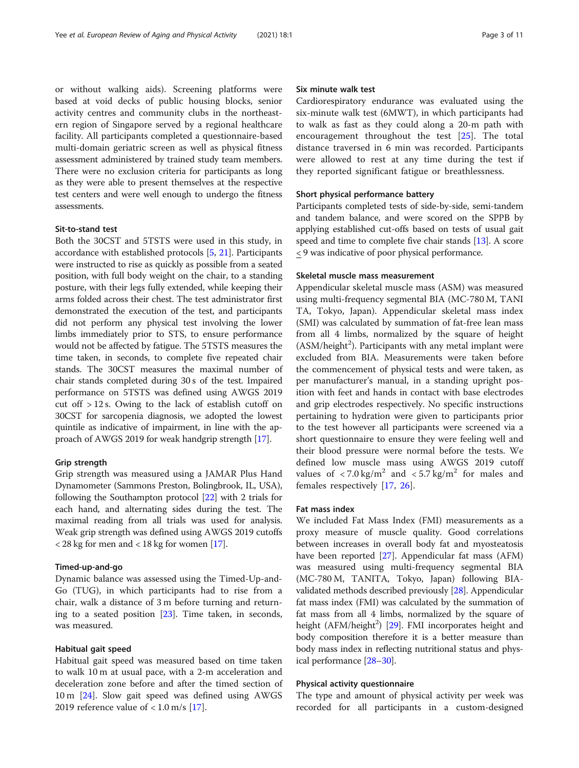or without walking aids). Screening platforms were based at void decks of public housing blocks, senior activity centres and community clubs in the northeastern region of Singapore served by a regional healthcare facility. All participants completed a questionnaire-based multi-domain geriatric screen as well as physical fitness assessment administered by trained study team members. There were no exclusion criteria for participants as long as they were able to present themselves at the respective test centers and were well enough to undergo the fitness assessments.

# Sit-to-stand test

Both the 30CST and 5TSTS were used in this study, in accordance with established protocols [\[5](#page-8-0), [21](#page-9-0)]. Participants were instructed to rise as quickly as possible from a seated position, with full body weight on the chair, to a standing posture, with their legs fully extended, while keeping their arms folded across their chest. The test administrator first demonstrated the execution of the test, and participants did not perform any physical test involving the lower limbs immediately prior to STS, to ensure performance would not be affected by fatigue. The 5TSTS measures the time taken, in seconds, to complete five repeated chair stands. The 30CST measures the maximal number of chair stands completed during 30 s of the test. Impaired performance on 5TSTS was defined using AWGS 2019 cut off > 12 s. Owing to the lack of establish cutoff on 30CST for sarcopenia diagnosis, we adopted the lowest quintile as indicative of impairment, in line with the approach of AWGS 2019 for weak handgrip strength [[17](#page-9-0)].

# Grip strength

Grip strength was measured using a JAMAR Plus Hand Dynamometer (Sammons Preston, Bolingbrook, IL, USA), following the Southampton protocol [[22\]](#page-9-0) with 2 trials for each hand, and alternating sides during the test. The maximal reading from all trials was used for analysis. Weak grip strength was defined using AWGS 2019 cutoffs < 28 kg for men and < 18 kg for women [\[17](#page-9-0)].

#### Timed-up-and-go

Dynamic balance was assessed using the Timed-Up-and-Go (TUG), in which participants had to rise from a chair, walk a distance of 3 m before turning and returning to a seated position [[23\]](#page-9-0). Time taken, in seconds, was measured.

#### Habitual gait speed

Habitual gait speed was measured based on time taken to walk 10 m at usual pace, with a 2-m acceleration and deceleration zone before and after the timed section of 10 m [\[24\]](#page-9-0). Slow gait speed was defined using AWGS 2019 reference value of  $< 1.0$  m/s [[17](#page-9-0)].

#### Six minute walk test

Cardiorespiratory endurance was evaluated using the six-minute walk test (6MWT), in which participants had to walk as fast as they could along a 20-m path with encouragement throughout the test [\[25](#page-9-0)]. The total distance traversed in 6 min was recorded. Participants were allowed to rest at any time during the test if they reported significant fatigue or breathlessness.

## Short physical performance battery

Participants completed tests of side-by-side, semi-tandem and tandem balance, and were scored on the SPPB by applying established cut-offs based on tests of usual gait speed and time to complete five chair stands [\[13\]](#page-8-0). A score < 9 was indicative of poor physical performance.

#### Skeletal muscle mass measurement

Appendicular skeletal muscle mass (ASM) was measured using multi-frequency segmental BIA (MC-780 M, TANI TA, Tokyo, Japan). Appendicular skeletal mass index (SMI) was calculated by summation of fat-free lean mass from all 4 limbs, normalized by the square of height (ASM/height<sup>2</sup>). Participants with any metal implant were excluded from BIA. Measurements were taken before the commencement of physical tests and were taken, as per manufacturer's manual, in a standing upright position with feet and hands in contact with base electrodes and grip electrodes respectively. No specific instructions pertaining to hydration were given to participants prior to the test however all participants were screened via a short questionnaire to ensure they were feeling well and their blood pressure were normal before the tests. We defined low muscle mass using AWGS 2019 cutoff values of  $\langle 7.0 \text{ kg/m}^2$  and  $\langle 5.7 \text{ kg/m}^2$  for males and females respectively [[17,](#page-9-0) [26\]](#page-9-0).

#### Fat mass index

We included Fat Mass Index (FMI) measurements as a proxy measure of muscle quality. Good correlations between increases in overall body fat and myosteatosis have been reported [\[27](#page-9-0)]. Appendicular fat mass (AFM) was measured using multi-frequency segmental BIA (MC-780 M, TANITA, Tokyo, Japan) following BIAvalidated methods described previously [[28\]](#page-9-0). Appendicular fat mass index (FMI) was calculated by the summation of fat mass from all 4 limbs, normalized by the square of height (AFM/height<sup>2</sup>) [\[29\]](#page-9-0). FMI incorporates height and body composition therefore it is a better measure than body mass index in reflecting nutritional status and physical performance [\[28](#page-9-0)–[30\]](#page-9-0).

#### Physical activity questionnaire

The type and amount of physical activity per week was recorded for all participants in a custom-designed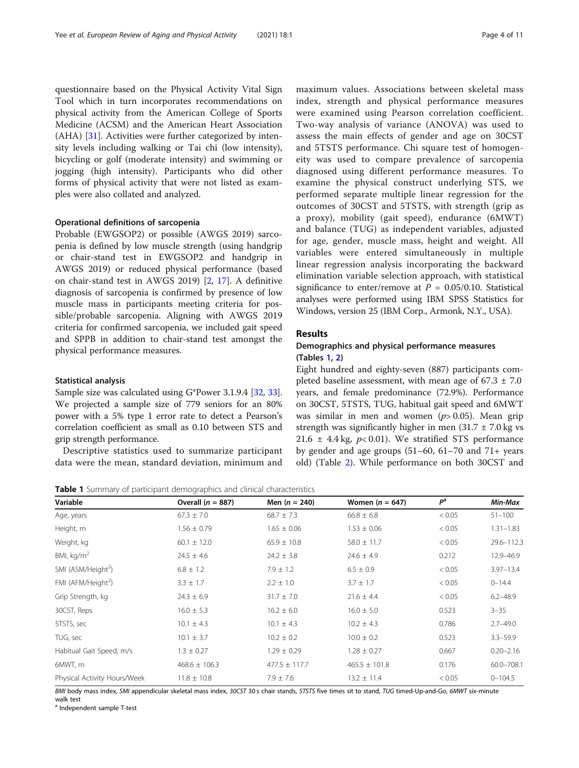questionnaire based on the Physical Activity Vital Sign Tool which in turn incorporates recommendations on physical activity from the American College of Sports Medicine (ACSM) and the American Heart Association (AHA) [[31\]](#page-9-0). Activities were further categorized by intensity levels including walking or Tai chi (low intensity), bicycling or golf (moderate intensity) and swimming or jogging (high intensity). Participants who did other forms of physical activity that were not listed as examples were also collated and analyzed.

#### Operational definitions of sarcopenia

Probable (EWGSOP2) or possible (AWGS 2019) sarcopenia is defined by low muscle strength (using handgrip or chair-stand test in EWGSOP2 and handgrip in AWGS 2019) or reduced physical performance (based on chair-stand test in AWGS 2019) [[2,](#page-8-0) [17](#page-9-0)]. A definitive diagnosis of sarcopenia is confirmed by presence of low muscle mass in participants meeting criteria for possible/probable sarcopenia. Aligning with AWGS 2019 criteria for confirmed sarcopenia, we included gait speed and SPPB in addition to chair-stand test amongst the physical performance measures.

#### Statistical analysis

Sample size was calculated using G\*Power 3.1.9.4 [\[32,](#page-9-0) [33](#page-9-0)]. We projected a sample size of 779 seniors for an 80% power with a 5% type 1 error rate to detect a Pearson's correlation coefficient as small as 0.10 between STS and grip strength performance.

Descriptive statistics used to summarize participant data were the mean, standard deviation, minimum and

maximum values. Associations between skeletal mass index, strength and physical performance measures were examined using Pearson correlation coefficient. Two-way analysis of variance (ANOVA) was used to assess the main effects of gender and age on 30CST and 5TSTS performance. Chi square test of homogeneity was used to compare prevalence of sarcopenia diagnosed using different performance measures. To examine the physical construct underlying STS, we performed separate multiple linear regression for the outcomes of 30CST and 5TSTS, with strength (grip as a proxy), mobility (gait speed), endurance (6MWT) and balance (TUG) as independent variables, adjusted for age, gender, muscle mass, height and weight. All variables were entered simultaneously in multiple linear regression analysis incorporating the backward elimination variable selection approach, with statistical significance to enter/remove at  $P = 0.05/0.10$ . Statistical analyses were performed using IBM SPSS Statistics for Windows, version 25 (IBM Corp., Armonk, N.Y., USA).

#### Results

# Demographics and physical performance measures (Tables 1, [2](#page-4-0))

Eight hundred and eighty-seven (887) participants completed baseline assessment, with mean age of  $67.3 \pm 7.0$ years, and female predominance (72.9%). Performance on 30CST, 5TSTS, TUG, habitual gait speed and 6MWT was similar in men and women  $(p > 0.05)$ . Mean grip strength was significantly higher in men  $(31.7 \pm 7.0 \text{ kg} \text{ vs }$ 21.6  $\pm$  4.4 kg,  $p< 0.01$ ). We stratified STS performance by gender and age groups  $(51–60, 61–70, 61)$ old) (Table [2](#page-4-0)). While performance on both 30CST and

Table 1 Summary of participant demographics and clinical characteristics

| Variable                       | Overall $(n = 887)$ | Men $(n = 240)$   | Women $(n = 647)$ | P <sup>a</sup> | Min-Max       |
|--------------------------------|---------------------|-------------------|-------------------|----------------|---------------|
| Age, years                     | $67.3 \pm 7.0$      | $68.7 \pm 7.3$    | $66.8 \pm 6.8$    | < 0.05         | $51 - 100$    |
| Height, m                      | $1.56 \pm 0.79$     | $1.65 \pm 0.06$   | $1.53 \pm 0.06$   | < 0.05         | $1.31 - 1.83$ |
| Weight, kg                     | $60.1 \pm 12.0$     | $65.9 \pm 10.8$   | $58.0 \pm 11.7$   | < 0.05         | 29.6-112.3    |
| BMI, $kg/m2$                   | $24.5 \pm 4.6$      | $24.2 \pm 3.8$    | $24.6 \pm 4.9$    | 0.212          | 12.9-46.9     |
| SMI (ASM/Height <sup>2</sup> ) | $6.8 \pm 1.2$       | $7.9 \pm 1.2$     | $6.5 \pm 0.9$     | < 0.05         | $3.97 - 13.4$ |
| FMI (AFM/Height <sup>2</sup> ) | $3.3 \pm 1.7$       | $2.2 \pm 1.0$     | $3.7 \pm 1.7$     | < 0.05         | $0 - 14.4$    |
| Grip Strength, kg              | $24.3 \pm 6.9$      | $31.7 \pm 7.0$    | $21.6 \pm 4.4$    | < 0.05         | $6.2 - 48.9$  |
| 30CST, Reps                    | $16.0 \pm 5.3$      | $16.2 \pm 6.0$    | $16.0 \pm 5.0$    | 0.523          | $3 - 35$      |
| 5TSTS, sec                     | $10.1 \pm 4.3$      | $10.1 \pm 4.3$    | $10.2 \pm 4.3$    | 0.786          | $2.7 - 49.0$  |
| TUG, sec                       | $10.1 \pm 3.7$      | $10.2 \pm 0.2$    | $10.0 \pm 0.2$    | 0.523          | $3.3 - 59.9$  |
| Habitual Gait Speed, m/s       | $1.3 \pm 0.27$      | $1.29 \pm 0.29$   | $1.28 \pm 0.27$   | 0.667          | $0.20 - 2.16$ |
| 6MWT, m                        | $468.6 \pm 106.3$   | $477.5 \pm 117.7$ | $465.5 \pm 101.8$ | 0.176          | 60.0-708.1    |
| Physical Activity Hours/Week   | $11.8 \pm 10.8$     | $7.9 \pm 7.6$     | $13.2 \pm 11.4$   | < 0.05         | $0 - 104.5$   |

BMI body mass index, SMI appendicular skeletal mass index, 30CST 30 s chair stands, 5TSTS five times sit to stand, TUG timed-Up-and-Go, 6MWT six-minute walk test

<sup>a</sup> Independent sample T-test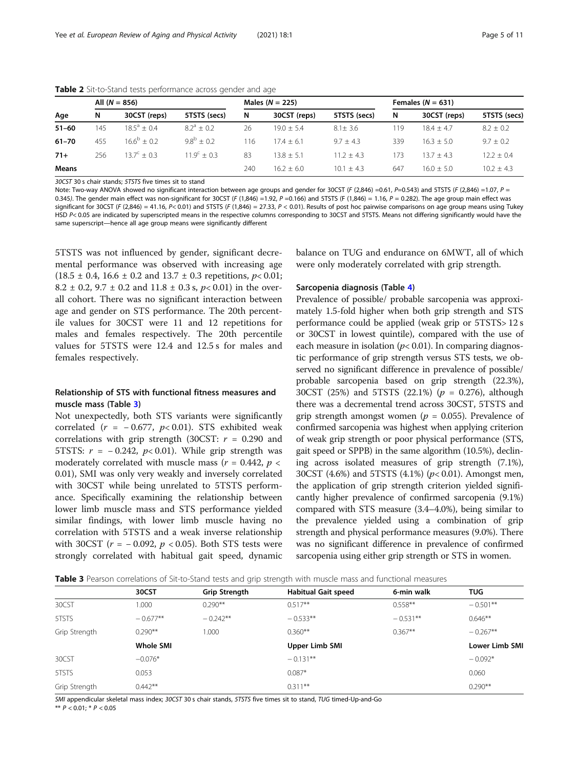|              |     | All $(N = 856)$              |                             |     | Males $(N = 225)$ |              |     | Females $(N = 631)$ |              |
|--------------|-----|------------------------------|-----------------------------|-----|-------------------|--------------|-----|---------------------|--------------|
| Age          | N   | 30CST (reps)                 | 5TSTS (secs)                | N   | 30CST (reps)      | 5TSTS (secs) | N   | 30CST (reps)        | 5TSTS (secs) |
| $51 - 60$    | 145 | $18.5^a + 0.4$               | $8.2^a + 0.2$               | 26  | $19.0 + 5.4$      | $8.1 + 3.6$  | 119 | $18.4 + 4.7$        | $8.2 + 0.2$  |
| $61 - 70$    | 455 | $16.6^{\circ} + 0.2^{\circ}$ | $9.8^{\rm b} + 0.2^{\rm c}$ | -16 | 174 + 61          | $9.7 + 4.3$  | 339 | $16.3 + 5.0$        | $9.7 + 0.2$  |
| $71+$        | 256 | $13.7^{\circ} + 0.3$         | $11.9^c + 0.3$              | 83  | $13.8 + 5.1$      | $11.2 + 4.3$ | 73  | $13.7 + 4.3$        | $12.2 + 0.4$ |
| <b>Means</b> |     |                              |                             | 240 | $16.2 + 6.0$      | $10.1 + 4.3$ | 647 | $16.0 + 5.0$        | $10.2 + 4.3$ |

<span id="page-4-0"></span>Table 2 Sit-to-Stand tests performance across gender and age

30CST 30 s chair stands; 5TSTS five times sit to stand

Note: Two-way ANOVA showed no significant interaction between age groups and gender for 30CST (F (2,846) =0.61, P=0.543) and 5TSTS (F (2,846) =1.07, P = 0.345). The gender main effect was non-significant for 30CST (F (1,846) =1.92, P =0.166) and 5TSTS (F (1,846) = 1.16, P = 0.282). The age group main effect was significant for 30CST (F (2,846) = 41.16, P< 0.01) and 5TSTS (F (1,846) = 27.33, P < 0.01). Results of post hoc pairwise comparisons on age group means using Tukey HSD P< 0.05 are indicated by superscripted means in the respective columns corresponding to 30CST and 5TSTS. Means not differing significantly would have the same superscript—hence all age group means were significantly different

5TSTS was not influenced by gender, significant decremental performance was observed with increasing age  $(18.5 \pm 0.4, 16.6 \pm 0.2 \text{ and } 13.7 \pm 0.3 \text{ repetitions}, p < 0.01;$ 8.2  $\pm$  0.2, 9.7  $\pm$  0.2 and 11.8  $\pm$  0.3 s, p < 0.01) in the overall cohort. There was no significant interaction between age and gender on STS performance. The 20th percentile values for 30CST were 11 and 12 repetitions for males and females respectively. The 20th percentile values for 5TSTS were 12.4 and 12.5 s for males and females respectively.

# Relationship of STS with functional fitness measures and muscle mass (Table 3)

Not unexpectedly, both STS variants were significantly correlated ( $r = -0.677$ ,  $p < 0.01$ ). STS exhibited weak correlations with grip strength (30CST:  $r = 0.290$  and 5TSTS:  $r = -0.242$ ,  $p < 0.01$ ). While grip strength was moderately correlated with muscle mass ( $r = 0.442$ ,  $p <$ 0.01), SMI was only very weakly and inversely correlated with 30CST while being unrelated to 5TSTS performance. Specifically examining the relationship between lower limb muscle mass and STS performance yielded similar findings, with lower limb muscle having no correlation with 5TSTS and a weak inverse relationship with 30CST ( $r = -0.092$ ,  $p < 0.05$ ). Both STS tests were strongly correlated with habitual gait speed, dynamic

balance on TUG and endurance on 6MWT, all of which were only moderately correlated with grip strength.

#### Sarcopenia diagnosis (Table [4](#page-5-0))

Prevalence of possible/ probable sarcopenia was approximately 1.5-fold higher when both grip strength and STS performance could be applied (weak grip or 5TSTS> 12 s or 30CST in lowest quintile), compared with the use of each measure in isolation ( $p$ < 0.01). In comparing diagnostic performance of grip strength versus STS tests, we observed no significant difference in prevalence of possible/ probable sarcopenia based on grip strength (22.3%), 30CST (25%) and 5TSTS (22.1%) ( $p = 0.276$ ), although there was a decremental trend across 30CST, 5TSTS and grip strength amongst women ( $p = 0.055$ ). Prevalence of confirmed sarcopenia was highest when applying criterion of weak grip strength or poor physical performance (STS, gait speed or SPPB) in the same algorithm (10.5%), declining across isolated measures of grip strength (7.1%), 30CST (4.6%) and 5TSTS (4.1%) ( $p$ < 0.01). Amongst men, the application of grip strength criterion yielded significantly higher prevalence of confirmed sarcopenia (9.1%) compared with STS measure (3.4–4.0%), being similar to the prevalence yielded using a combination of grip strength and physical performance measures (9.0%). There was no significant difference in prevalence of confirmed sarcopenia using either grip strength or STS in women.

| Table 3 Pearson correlations of Sit-to-Stand tests and grip strength with muscle mass and functional measures |  |
|---------------------------------------------------------------------------------------------------------------|--|
|---------------------------------------------------------------------------------------------------------------|--|

|               | 30CST            | Grip Strength | <b>Habitual Gait speed</b> | 6-min walk | <b>TUG</b>     |
|---------------|------------------|---------------|----------------------------|------------|----------------|
| 30CST         | 1.000            | $0.290**$     | $0.517**$                  | $0.558**$  | $-0.501**$     |
| 5TSTS         | $-0.677**$       | $-0.242**$    | $-0.533**$                 | $-0.531**$ | $0.646**$      |
| Grip Strength | $0.290**$        | 1.000         | $0.360**$                  | $0.367**$  | $-0.267**$     |
|               | <b>Whole SMI</b> |               | Upper Limb SMI             |            | Lower Limb SMI |
| 30CST         | $-0.076*$        |               | $-0.131**$                 |            | $-0.092*$      |
| 5TSTS         | 0.053            |               | $0.087*$                   |            | 0.060          |
| Grip Strength | $0.442**$        |               | $0.311**$                  |            | $0.290**$      |

SMI appendicular skeletal mass index; 30CST 30 s chair stands, 5TSTS five times sit to stand, TUG timed-Up-and-Go

\*\*  $P < 0.01$ ; \*  $P < 0.05$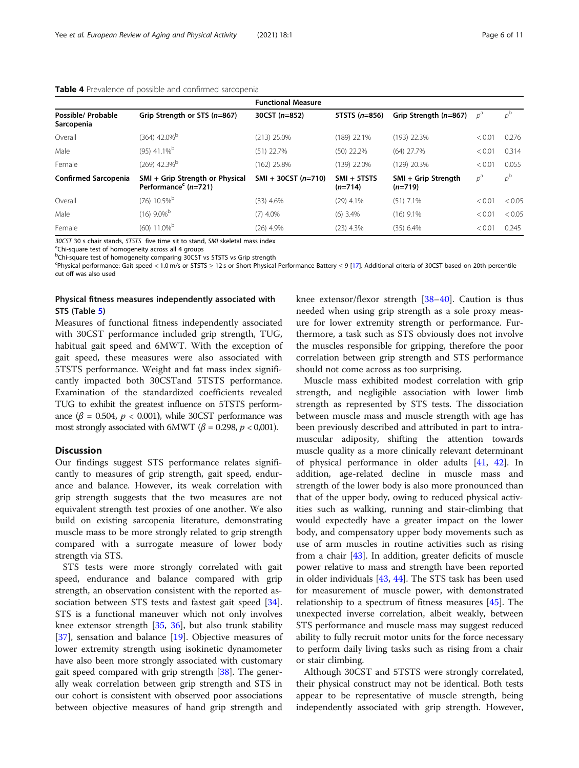|                                  |                                                                     | <b>Functional Measure</b> |                            |                                  |        |             |
|----------------------------------|---------------------------------------------------------------------|---------------------------|----------------------------|----------------------------------|--------|-------------|
| Possible/ Probable<br>Sarcopenia | Grip Strength or STS (n=867)                                        | $30CST (n=852)$           | 5TSTS $(n=856)$            | Grip Strength (n=867)            | $p^a$  | $p^{\rm b}$ |
| Overall                          | $(364)$ 42.0% <sup>b</sup>                                          | $(213)$ 25.0%             | $(189)$ 22.1%              | $(193)$ 22.3%                    | < 0.01 | 0.276       |
| Male                             | $(95)$ 41.1% <sup>b</sup>                                           | $(51)$ 22.7%              | $(50)$ 22.2%               | $(64)$ 27.7%                     | < 0.01 | 0.314       |
| Female                           | $(269)$ 42.3% <sup>b</sup>                                          | $(162)$ 25.8%             | $(139)$ 22.0%              | $(129)$ 20.3%                    | < 0.01 | 0.055       |
| <b>Confirmed Sarcopenia</b>      | SMI + Grip Strength or Physical<br>Performance <sup>c</sup> (n=721) | $SMI + 30CST (n=710)$     | $SMI + 5TSTS$<br>$(n=714)$ | SMI + Grip Strength<br>$(n=719)$ | $p^a$  | $p^{\rm b}$ |
| Overall                          | $(76)$ 10.5% <sup>b</sup>                                           | $(33)$ 4.6%               | $(29)$ 4.1%                | $(51)$ 7.1%                      | < 0.01 | < 0.05      |
| Male                             | $(16)$ 9.0% <sup>b</sup>                                            | $(7)$ 4.0%                | $(6)$ 3.4%                 | $(16)$ 9.1%                      | < 0.01 | < 0.05      |
| Female                           | $(60)$ 11.0% <sup>b</sup>                                           | $(26)$ 4.9%               | $(23)$ 4.3%                | $(35)$ 6.4%                      | < 0.01 | 0.245       |

<span id="page-5-0"></span>

| Table 4 Prevalence of possible and confirmed sarcopenia |  |  |  |
|---------------------------------------------------------|--|--|--|
|---------------------------------------------------------|--|--|--|

30CST 30 s chair stands, 5TSTS five time sit to stand, SMI skeletal mass index

<sup>a</sup>Chi-square test of homogeneity across all 4 groups

<sup>b</sup>Chi-square test of homogeneity comparing 30CST vs 5TSTS vs Grip strength

c Physical performance: Gait speed < 1.0 m/s or 5TSTS ≥ 12 s or Short Physical Performance Battery ≤ 9 [\[17\]](#page-9-0). Additional criteria of 30CST based on 20th percentile cut off was also used

# Physical fitness measures independently associated with STS (Table [5\)](#page-6-0)

Measures of functional fitness independently associated with 30CST performance included grip strength, TUG, habitual gait speed and 6MWT. With the exception of gait speed, these measures were also associated with 5TSTS performance. Weight and fat mass index significantly impacted both 30CSTand 5TSTS performance. Examination of the standardized coefficients revealed TUG to exhibit the greatest influence on 5TSTS performance ( $\beta$  = 0.504,  $p$  < 0.001), while 30CST performance was most strongly associated with 6MWT ( $\beta$  = 0.298,  $p$  < 0,001).

#### **Discussion**

Our findings suggest STS performance relates significantly to measures of grip strength, gait speed, endurance and balance. However, its weak correlation with grip strength suggests that the two measures are not equivalent strength test proxies of one another. We also build on existing sarcopenia literature, demonstrating muscle mass to be more strongly related to grip strength compared with a surrogate measure of lower body strength via STS.

STS tests were more strongly correlated with gait speed, endurance and balance compared with grip strength, an observation consistent with the reported association between STS tests and fastest gait speed [\[34](#page-9-0)]. STS is a functional maneuver which not only involves knee extensor strength [[35](#page-9-0), [36](#page-9-0)], but also trunk stability [[37\]](#page-9-0), sensation and balance [\[19](#page-9-0)]. Objective measures of lower extremity strength using isokinetic dynamometer have also been more strongly associated with customary gait speed compared with grip strength [\[38](#page-9-0)]. The generally weak correlation between grip strength and STS in our cohort is consistent with observed poor associations between objective measures of hand grip strength and knee extensor/flexor strength [[38](#page-9-0)–[40](#page-9-0)]. Caution is thus needed when using grip strength as a sole proxy measure for lower extremity strength or performance. Furthermore, a task such as STS obviously does not involve the muscles responsible for gripping, therefore the poor correlation between grip strength and STS performance should not come across as too surprising.

Muscle mass exhibited modest correlation with grip strength, and negligible association with lower limb strength as represented by STS tests. The dissociation between muscle mass and muscle strength with age has been previously described and attributed in part to intramuscular adiposity, shifting the attention towards muscle quality as a more clinically relevant determinant of physical performance in older adults [[41](#page-9-0), [42](#page-9-0)]. In addition, age-related decline in muscle mass and strength of the lower body is also more pronounced than that of the upper body, owing to reduced physical activities such as walking, running and stair-climbing that would expectedly have a greater impact on the lower body, and compensatory upper body movements such as use of arm muscles in routine activities such as rising from a chair [\[43](#page-9-0)]. In addition, greater deficits of muscle power relative to mass and strength have been reported in older individuals [[43,](#page-9-0) [44\]](#page-9-0). The STS task has been used for measurement of muscle power, with demonstrated relationship to a spectrum of fitness measures [[45](#page-9-0)]. The unexpected inverse correlation, albeit weakly, between STS performance and muscle mass may suggest reduced ability to fully recruit motor units for the force necessary to perform daily living tasks such as rising from a chair or stair climbing.

Although 30CST and 5TSTS were strongly correlated, their physical construct may not be identical. Both tests appear to be representative of muscle strength, being independently associated with grip strength. However,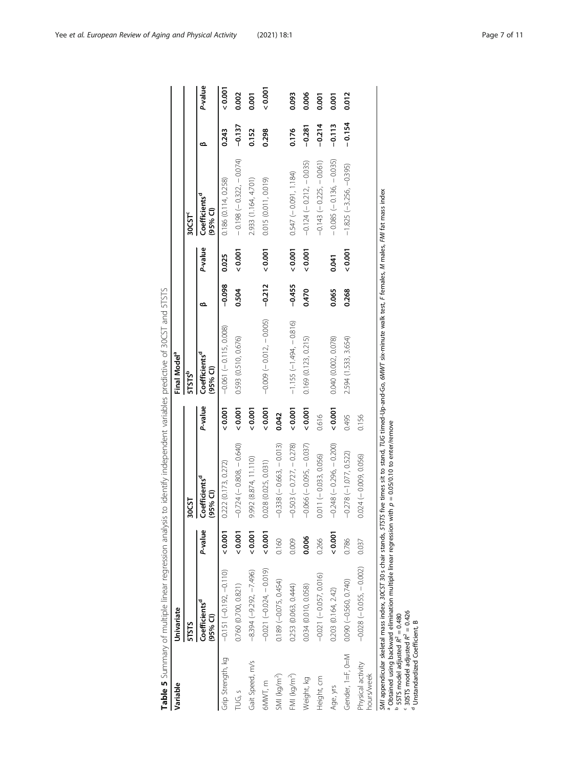<span id="page-6-0"></span>

| Variable                        | Univariate                                                                                                                                                                           |               |                                                  |         | Final Model <sup>a</sup>              |          |         |                                       |          |                  |
|---------------------------------|--------------------------------------------------------------------------------------------------------------------------------------------------------------------------------------|---------------|--------------------------------------------------|---------|---------------------------------------|----------|---------|---------------------------------------|----------|------------------|
|                                 | <b>STSTS</b>                                                                                                                                                                         |               | 30CST                                            |         | <b>5TSTS</b>                          |          |         | 30C5                                  |          |                  |
|                                 | Coefficients <sup>a</sup><br>(95% Cl)                                                                                                                                                | P-value       | Coefficients <sup>d</sup><br>$(95\% \text{ Cl})$ | P-value | Coefficients <sup>a</sup><br>(95% Cl) |          | P-value | Coefficients <sup>d</sup><br>(95% Cl) | ≃        | P-value          |
| Grip Strength, kg               | $-0.151(-0.192, -0.10)$                                                                                                                                                              | 0.001         | 0.222(0.173, 0.272)                              | 0.001   | $-0.061(-0.115, 0.008)$               | $-0.098$ | 0.025   | 0.186 (0.114, 0.258)                  | 0.243    | $\frac{2000}{5}$ |
| TUG, s                          | 0.760 (0.700, 0.821)                                                                                                                                                                 | 0.001         | $-0.724(-0.808, -0.640)$                         | 0.001   | 0.593 (0.510, 0.676)                  | 0.504    | 0.001   | $-0.198(-0.322, -0.074)$              | $-0.137$ | 0.002            |
| Gait Speed, m/s                 | $-8.394 (-9.292, -7.496)$                                                                                                                                                            | 0.001         | 9.992 (8.874, 11.110)                            | 0.001   |                                       |          |         | 2.933 (1.164, 4.701)                  | 0.152    | 0.001            |
| 6MWT, m                         | $-0.021(-0.024, -0.019)$                                                                                                                                                             | 0.001         | 0.028 (0.025, 0.031)                             | 0.001   | $-0.009(-0.012,-0.005)$               | $-0.212$ | 0.001   | 0.015 (0.011, 0.019)                  | 0.298    | 0.001            |
| SMI (kg/m <sup>2</sup> )        | $0.189 (-0.075, 0.454)$                                                                                                                                                              | 0.160         | $-0.338(-0.663, -0.013)$                         | 0.042   |                                       |          |         |                                       |          |                  |
| FMI (kg/m <sup>2</sup> )        | 0.253 (0.063, 0.444)                                                                                                                                                                 | 0.009         | $-0.503(-0.727, -0.278)$                         | 0.001   | $-1.155(-1.494, -0.816)$              | $-0.455$ | 0.001   | $0.547 (-0.091, 1.184)$               | 0.176    | 0.093            |
| Weight, kg                      | 0.034 (0.010, 0.058)                                                                                                                                                                 | 0.006         | $-0.066(-0.095, -0.037)$                         | 0.001   | 0.169(0.123, 0.215)                   | 0.470    | 0.001   | $-0.124 (-0.212, -0.035)$             | $-0.281$ | 0.006            |
| Height, cm                      | $-0.021(-0.057, 0.016)$                                                                                                                                                              | 0.266         | $0.011 (-0.033, 0.056)$                          | 0.616   |                                       |          |         | $-0.143(-0.225, -0.061)$              | $-0.214$ | 0.001            |
| Age, yrs                        | 0.203 (0.164, 2.42)                                                                                                                                                                  | $\frac{5}{2}$ | $-0.248(-0.296, -0.200)$                         | 0.001   | 0.040 (0.002, 0.078)                  | 0.065    | 0.041   | $-0.085(-0.136, -0.035)$              | $-0.113$ | 0.001            |
| Gender, 1=F, 0=M                | $0.090 (-0.560, 0.740)$                                                                                                                                                              | 0.786         | $-0.278(-1.077, 0.522)$                          | 0.495   | 2.594 (1.533, 3.654)                  | 0.268    | 0.001   | $-1.825(-3.256, -0.395)$              | $-0.154$ | 0.012            |
| Physical activity<br>hours/week | $-0.028(-0.055, -0.002)$                                                                                                                                                             | 0.037         | $0.024 (-0.009, 0.056)$                          | 0.156   |                                       |          |         |                                       |          |                  |
|                                 | SMI appendicular skeletal mass index, 30CST 30 s chair stands, STSTS five times sit to stand, TUG timed-Up-and-Go, 6MMT six-minute walk test, F females, M males, FMI fat mass index |               |                                                  |         |                                       |          |         |                                       |          |                  |

Table 5 Summary of multiple linear regression analysis to identify independent variables predictive of 30CST and 5TSTS

 $^9$  Obtained using backward elimination multiple linear regression with  $p = 0.05/0.10$  to enter/remove

abcd $5$  STS model adjusted  $R^2 = 0.480$ 

 $C<sup>2</sup>$  30STS model adjusted  $R<sup>2</sup> = 0.426$ 

Unstandardized Coefficient, B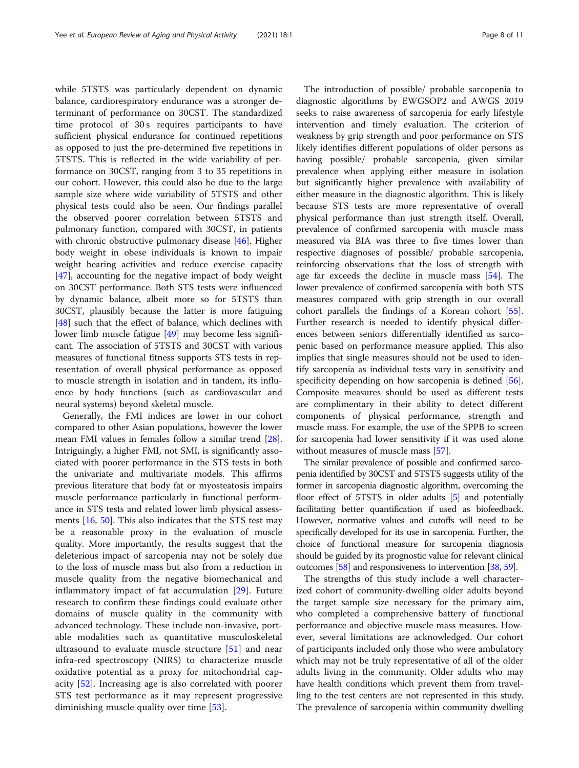while 5TSTS was particularly dependent on dynamic balance, cardiorespiratory endurance was a stronger determinant of performance on 30CST. The standardized time protocol of 30s requires participants to have sufficient physical endurance for continued repetitions as opposed to just the pre-determined five repetitions in 5TSTS. This is reflected in the wide variability of performance on 30CST, ranging from 3 to 35 repetitions in our cohort. However, this could also be due to the large sample size where wide variability of 5TSTS and other physical tests could also be seen. Our findings parallel the observed poorer correlation between 5TSTS and pulmonary function, compared with 30CST, in patients with chronic obstructive pulmonary disease [[46\]](#page-9-0). Higher body weight in obese individuals is known to impair weight bearing activities and reduce exercise capacity [[47\]](#page-9-0), accounting for the negative impact of body weight on 30CST performance. Both STS tests were influenced by dynamic balance, albeit more so for 5TSTS than 30CST, plausibly because the latter is more fatiguing [[48\]](#page-9-0) such that the effect of balance, which declines with lower limb muscle fatigue [[49](#page-9-0)] may become less significant. The association of 5TSTS and 30CST with various measures of functional fitness supports STS tests in representation of overall physical performance as opposed to muscle strength in isolation and in tandem, its influence by body functions (such as cardiovascular and neural systems) beyond skeletal muscle.

Generally, the FMI indices are lower in our cohort compared to other Asian populations, however the lower mean FMI values in females follow a similar trend [\[28](#page-9-0)]. Intriguingly, a higher FMI, not SMI, is significantly associated with poorer performance in the STS tests in both the univariate and multivariate models. This affirms previous literature that body fat or myosteatosis impairs muscle performance particularly in functional performance in STS tests and related lower limb physical assessments [[16,](#page-9-0) [50\]](#page-9-0). This also indicates that the STS test may be a reasonable proxy in the evaluation of muscle quality. More importantly, the results suggest that the deleterious impact of sarcopenia may not be solely due to the loss of muscle mass but also from a reduction in muscle quality from the negative biomechanical and inflammatory impact of fat accumulation [[29\]](#page-9-0). Future research to confirm these findings could evaluate other domains of muscle quality in the community with advanced technology. These include non-invasive, portable modalities such as quantitative musculoskeletal ultrasound to evaluate muscle structure [\[51](#page-9-0)] and near infra-red spectroscopy (NIRS) to characterize muscle oxidative potential as a proxy for mitochondrial capacity [[52\]](#page-9-0). Increasing age is also correlated with poorer STS test performance as it may represent progressive diminishing muscle quality over time [[53](#page-9-0)].

The introduction of possible/ probable sarcopenia to diagnostic algorithms by EWGSOP2 and AWGS 2019 seeks to raise awareness of sarcopenia for early lifestyle intervention and timely evaluation. The criterion of weakness by grip strength and poor performance on STS likely identifies different populations of older persons as having possible/ probable sarcopenia, given similar prevalence when applying either measure in isolation but significantly higher prevalence with availability of either measure in the diagnostic algorithm. This is likely because STS tests are more representative of overall physical performance than just strength itself. Overall, prevalence of confirmed sarcopenia with muscle mass measured via BIA was three to five times lower than respective diagnoses of possible/ probable sarcopenia, reinforcing observations that the loss of strength with age far exceeds the decline in muscle mass [\[54\]](#page-10-0). The lower prevalence of confirmed sarcopenia with both STS measures compared with grip strength in our overall cohort parallels the findings of a Korean cohort [\[55](#page-10-0)]. Further research is needed to identify physical differences between seniors differentially identified as sarcopenic based on performance measure applied. This also implies that single measures should not be used to identify sarcopenia as individual tests vary in sensitivity and specificity depending on how sarcopenia is defined [\[56](#page-10-0)]. Composite measures should be used as different tests are complimentary in their ability to detect different components of physical performance, strength and muscle mass. For example, the use of the SPPB to screen for sarcopenia had lower sensitivity if it was used alone without measures of muscle mass [[57\]](#page-10-0).

The similar prevalence of possible and confirmed sarcopenia identified by 30CST and 5TSTS suggests utility of the former in sarcopenia diagnostic algorithm, overcoming the floor effect of 5TSTS in older adults [\[5\]](#page-8-0) and potentially facilitating better quantification if used as biofeedback. However, normative values and cutoffs will need to be specifically developed for its use in sarcopenia. Further, the choice of functional measure for sarcopenia diagnosis should be guided by its prognostic value for relevant clinical outcomes [\[58\]](#page-10-0) and responsiveness to intervention [\[38,](#page-9-0) [59\]](#page-10-0).

The strengths of this study include a well characterized cohort of community-dwelling older adults beyond the target sample size necessary for the primary aim, who completed a comprehensive battery of functional performance and objective muscle mass measures. However, several limitations are acknowledged. Our cohort of participants included only those who were ambulatory which may not be truly representative of all of the older adults living in the community. Older adults who may have health conditions which prevent them from travelling to the test centers are not represented in this study. The prevalence of sarcopenia within community dwelling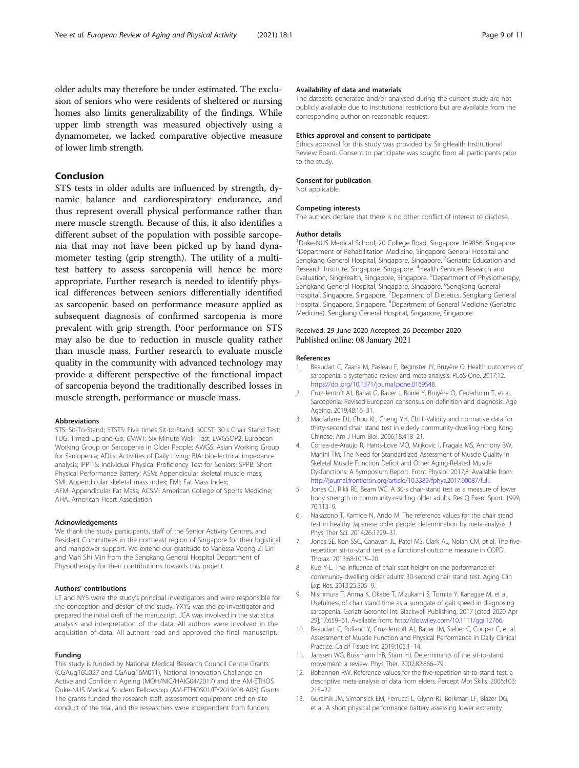<span id="page-8-0"></span>older adults may therefore be under estimated. The exclusion of seniors who were residents of sheltered or nursing homes also limits generalizability of the findings. While upper limb strength was measured objectively using a dynamometer, we lacked comparative objective measure of lower limb strength.

# Conclusion

STS tests in older adults are influenced by strength, dynamic balance and cardiorespiratory endurance, and thus represent overall physical performance rather than mere muscle strength. Because of this, it also identifies a different subset of the population with possible sarcopenia that may not have been picked up by hand dynamometer testing (grip strength). The utility of a multitest battery to assess sarcopenia will hence be more appropriate. Further research is needed to identify physical differences between seniors differentially identified as sarcopenic based on performance measure applied as subsequent diagnosis of confirmed sarcopenia is more prevalent with grip strength. Poor performance on STS may also be due to reduction in muscle quality rather than muscle mass. Further research to evaluate muscle quality in the community with advanced technology may provide a different perspective of the functional impact of sarcopenia beyond the traditionally described losses in muscle strength, performance or muscle mass.

#### Abbreviations

STS: Sit-To-Stand; 5TSTS: Five times Sit-to-Stand; 30CST: 30 s Chair Stand Test; TUG: Timed-Up-and-Go; 6MWT: Six-Minute Walk Test; EWGSOP2: European Working Group on Sarcopenia in Older People; AWGS: Asian Working Group for Sarcopenia; ADLs: Activities of Daily Living; BIA: bioelectrical impedance analysis; IPPT-S: Individual Physical Proficiency Test for Seniors; SPPB: Short Physical Performance Battery; ASM: Appendicular skeletal muscle mass; SMI: Appendicular skeletal mass index; FMI: Fat Mass Index; AFM: Appendicular Fat Mass; ACSM: American College of Sports Medicine; AHA: American Heart Association

#### Acknowledgements

We thank the study participants, staff of the Senior Activity Centres, and Resident Committees in the northeast region of Singapore for their logistical and manpower support. We extend our gratitude to Vanessa Voong Zi Lin and Mah Shi Min from the Sengkang General Hospital Department of Physiotherapy for their contributions towards this project.

#### Authors' contributions

LT and NYS were the study's principal investigators and were responsible for the conception and design of the study. YXYS was the co-investigator and prepared the initial draft of the manuscript. JCA was involved in the statistical analysis and interpretation of the data. All authors were involved in the acquisition of data. All authors read and approved the final manuscript.

#### Funding

This study is funded by National Medical Research Council Centre Grants (CGAug16C027 and CGAug16M011), National Innovation Challenge on Active and Confident Ageing (MOH/NIC/HAIG04/2017) and the AM-ETHOS Duke-NUS Medical Student Fellowship (AM-ETHOS01/FY2019/08-A08) Grants. The grants funded the research staff, assessment equipment and on-site conduct of the trial, and the researchers were independent from funders.

#### Availability of data and materials

The datasets generated and/or analysed during the current study are not publicly available due to institutional restrictions but are available from the corresponding author on reasonable request.

#### Ethics approval and consent to participate

Ethics approval for this study was provided by SingHealth Institutional Review Board. Consent to participate was sought from all participants prior to the study.

#### Consent for publication

Not applicable.

#### Competing interests

The authors declare that there is no other conflict of interest to disclose.

#### Author details

1 Duke-NUS Medical School, 20 College Road, Singapore 169856, Singapore. <sup>2</sup>Department of Rehabilitation Medicine, Singapore General Hospital and Sengkang General Hospital, Singapore, Singapore. <sup>3</sup>Geriatric Education and Research Institute, Singapore, Singapore. <sup>4</sup> Health Services Research and Evaluation, SingHealth, Singapore, Singapore. <sup>5</sup>Department of Physiotherapy, Sengkang General Hospital, Singapore, Singapore. <sup>6</sup>Sengkang General Hospital, Singapore, Singapore. <sup>7</sup> Deparment of Dietetics, Sengkang General Hospital, Singapore, Singapore. <sup>8</sup>Department of General Medicine (Geriatric Medicine), Sengkang General Hospital, Singapore, Singapore.

#### Received: 29 June 2020 Accepted: 26 December 2020 Published online: 08 January 2021

#### References

- 1. Beaudart C, Zaaria M, Pasleau F, Reginster JY, Bruyère O. Health outcomes of sarcopenia: a systematic review and meta-analysis. PLoS One. 2017;12. [https://doi.org/10.1371/journal.pone.0169548.](https://doi.org/10.1371/journal.pone.0169548)
- 2. Cruz-Jentoft AJ, Bahat G, Bauer J, Boirie Y, Bruyère O, Cederholm T, et al. Sarcopenia: Revised European consensus on definition and diagnosis. Age Ageing. 2019;48:16–31.
- 3. Macfarlane DJ, Chou KL, Cheng YH, Chi I. Validity and normative data for thirty-second chair stand test in elderly community-dwelling Hong Kong Chinese. Am J Hum Biol. 2006;18:418–21.
- 4. Correa-de-Araujo R, Harris-Love MO, Miljkovic I, Fragala MS, Anthony BW, Manini TM. The Need for Standardized Assessment of Muscle Quality in Skeletal Muscle Function Deficit and Other Aging-Related Muscle Dysfunctions: A Symposium Report. Front Physiol. 2017;8. Available from: <http://journal.frontiersin.org/article/10.3389/fphys.2017.00087/full>.
- Jones CJ, Rikli RE, Beam WC. A 30-s chair-stand test as a measure of lower body strength in community-residing older adults. Res Q Exerc Sport. 1999; 70:113–9.
- 6. Nakazono T, Kamide N, Ando M. The reference values for the chair stand test in healthy Japanese older people: determination by meta-analysis. J Phys Ther Sci. 2014;26:1729–31.
- 7. Jones SE, Kon SSC, Canavan JL, Patel MS, Clark AL, Nolan CM, et al. The fiverepetition sit-to-stand test as a functional outcome measure in COPD. Thorax. 2013;68:1015–20.
- Kuo Y-L. The influence of chair seat height on the performance of community-dwelling older adults' 30-second chair stand test. Aging Clin Exp Res. 2013;25:305–9.
- 9. Nishimura T, Arima K, Okabe T, Mizukami S, Tomita Y, Kanagae M, et al. Usefulness of chair stand time as a surrogate of gait speed in diagnosing sarcopenia. Geriatr Gerontol Int. Blackwell Publishing; 2017 [cited 2020 Apr 29];17:659–61. Available from: [http://doi.wiley.com/10.1111/ggi.12766.](http://doi.wiley.com/10.1111/ggi.12766)
- 10. Beaudart C, Rolland Y, Cruz-Jentoft AJ, Bauer JM, Sieber C, Cooper C, et al. Assessment of Muscle Function and Physical Performance in Daily Clinical Practice. Calcif Tissue Int. 2019;105:1–14.
- 11. Janssen WG, Bussmann HB, Stam HJ. Determinants of the sit-to-stand movement: a review. Phys Ther. 2002;82:866–79.
- 12. Bohannon RW. Reference values for the five-repetition sit-to-stand test: a descriptive meta-analysis of data from elders. Percept Mot Skills. 2006;103: 215–22.
- 13. Guralnik JM, Simonsick EM, Ferrucci L, Glynn RJ, Berkman LF, Blazer DG, et al. A short physical performance battery assessing lower extremity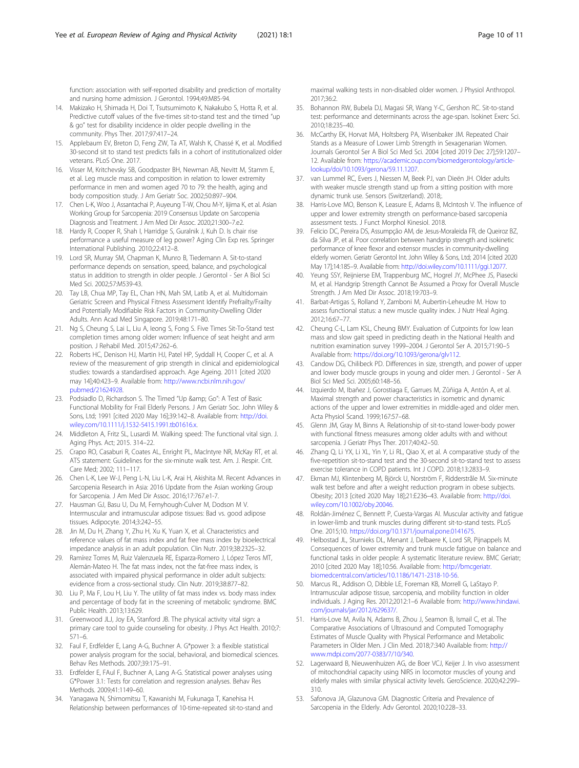<span id="page-9-0"></span>function: association with self-reported disability and prediction of mortality and nursing home admission. J Gerontol. 1994;49:M85-94.

- 14. Makizako H, Shimada H, Doi T, Tsutsumimoto K, Nakakubo S, Hotta R, et al. Predictive cutoff values of the five-times sit-to-stand test and the timed "up & go" test for disability incidence in older people dwelling in the community. Phys Ther. 2017;97:417–24.
- 15. Applebaum EV, Breton D, Feng ZW, Ta AT, Walsh K, Chassé K, et al. Modified 30-second sit to stand test predicts falls in a cohort of institutionalized older veterans. PLoS One. 2017.
- 16. Visser M, Kritchevsky SB, Goodpaster BH, Newman AB, Nevitt M, Stamm E, et al. Leg muscle mass and composition in relation to lower extremity performance in men and women aged 70 to 79: the health, aging and body composition study. J Am Geriatr Soc. 2002;50:897–904.
- 17. Chen L-K, Woo J, Assantachai P, Auyeung T-W, Chou M-Y, Iijima K, et al. Asian Working Group for Sarcopenia: 2019 Consensus Update on Sarcopenia Diagnosis and Treatment. J Am Med Dir Assoc. 2020;21:300–7.e2.
- 18. Hardy R, Cooper R, Shah I, Harridge S, Guralnik J, Kuh D. Is chair rise performance a useful measure of leg power? Aging Clin Exp res. Springer International Publishing. 2010;22:412–8.
- 19. Lord SR, Murray SM, Chapman K, Munro B, Tiedemann A. Sit-to-stand performance depends on sensation, speed, balance, and psychological status in addition to strength in older people. J Gerontol - Ser A Biol Sci Med Sci. 2002;57:M539-43.
- 20. Tay LB, Chua MP, Tay EL, Chan HN, Mah SM, Latib A, et al. Multidomain Geriatric Screen and Physical Fitness Assessment Identify Prefrailty/Frailty and Potentially Modifiable Risk Factors in Community-Dwelling Older Adults. Ann Acad Med Singapore. 2019;48:171–80.
- 21. Ng S, Cheung S, Lai L, Liu A, Ieong S, Fong S. Five Times Sit-To-Stand test completion times among older women: Influence of seat height and arm position. J Rehabil Med. 2015;47:262–6.
- 22. Roberts HC, Denison HJ, Martin HJ, Patel HP, Syddall H, Cooper C, et al. A review of the measurement of grip strength in clinical and epidemiological studies: towards a standardised approach. Age Ageing. 2011 [cited 2020 may 14];40:423–9. Available from: [http://www.ncbi.nlm.nih.gov/](http://www.ncbi.nlm.nih.gov/pubmed/21624928) [pubmed/21624928.](http://www.ncbi.nlm.nih.gov/pubmed/21624928)
- 23. Podsiadlo D, Richardson S. The Timed "Up & amp; Go": A Test of Basic Functional Mobility for Frail Elderly Persons. J Am Geriatr Soc. John Wiley & Sons, Ltd; 1991 [cited 2020 May 16];39:142–8. Available from: [http://doi.](http://doi.wiley.com/10.1111/j.1532-5415.1991.tb01616.x) [wiley.com/10.1111/j.1532-5415.1991.tb01616.x](http://doi.wiley.com/10.1111/j.1532-5415.1991.tb01616.x).
- 24. Middleton A, Fritz SL, Lusardi M. Walking speed: The functional vital sign. J. Aging Phys. Act; 2015. 314–22.
- 25. Crapo RO, Casaburi R, Coates AL, Enright PL, MacIntyre NR, McKay RT, et al. ATS statement: Guidelines for the six-minute walk test. Am. J. Respir. Crit. Care Med; 2002; 111–117.
- 26. Chen L-K, Lee W-J, Peng L-N, Liu L-K, Arai H, Akishita M. Recent Advances in Sarcopenia Research in Asia: 2016 Update from the Asian working Group for Sarcopenia. J Am Med Dir Assoc. 2016;17:767.e1-7.
- 27. Hausman GJ, Basu U, Du M, Fernyhough-Culver M, Dodson M V. Intermuscular and intramuscular adipose tissues: Bad vs. good adipose tissues. Adipocyte. 2014;3:242–55.
- 28. Jin M, Du H, Zhang Y, Zhu H, Xu K, Yuan X, et al. Characteristics and reference values of fat mass index and fat free mass index by bioelectrical impedance analysis in an adult population. Clin Nutr. 2019;38:2325–32.
- 29. Ramírez Torres M, Ruiz Valenzuela RE, Esparza-Romero J, López Teros MT, Alemán-Mateo H. The fat mass index, not the fat-free mass index, is associated with impaired physical performance in older adult subjects: evidence from a cross-sectional study. Clin Nutr. 2019;38:877–82.
- 30. Liu P, Ma F, Lou H, Liu Y. The utility of fat mass index vs. body mass index and percentage of body fat in the screening of metabolic syndrome. BMC Public Health. 2013;13:629.
- 31. Greenwood JLJ, Joy EA, Stanford JB. The physical activity vital sign: a primary care tool to guide counseling for obesity. J Phys Act Health. 2010;7: 571–6.
- 32. Faul F, Erdfelder E, Lang A-G, Buchner A. G\*power 3: a flexible statistical power analysis program for the social, behavioral, and biomedical sciences. Behav Res Methods. 2007;39:175–91.
- 33. Erdfelder E, FAul F, Buchner A, Lang A-G. Statistical power analyses using G\*Power 3.1: Tests for correlation and regression analyses. Behav Res Methods. 2009;41:1149–60.
- 34. Yanagawa N, Shimomitsu T, Kawanishi M, Fukunaga T, Kanehisa H. Relationship between performances of 10-time-repeated sit-to-stand and

maximal walking tests in non-disabled older women. J Physiol Anthropol. 2017;36:2.

- 35. Bohannon RW, Bubela DJ, Magasi SR, Wang Y-C, Gershon RC. Sit-to-stand test: performance and determinants across the age-span. Isokinet Exerc Sci. 2010;18:235–40.
- 36. McCarthy EK, Horvat MA, Holtsberg PA, Wisenbaker JM. Repeated Chair Stands as a Measure of Lower Limb Strength in Sexagenarian Women. Journals Gerontol Ser A Biol Sci Med Sci. 2004 [cited 2019 Dec 27];59:1207– 12. Available from: [https://academic.oup.com/biomedgerontology/article](https://academic.oup.com/biomedgerontology/article-lookup/doi/10.1093/gerona/59.11.1207)[lookup/doi/10.1093/gerona/59.11.1207.](https://academic.oup.com/biomedgerontology/article-lookup/doi/10.1093/gerona/59.11.1207)
- 37. van Lummel RC, Evers J, Niessen M, Beek PJ, van Dieën JH. Older adults with weaker muscle strength stand up from a sitting position with more dynamic trunk use. Sensors (Switzerland). 2018;.
- 38. Harris-Love MO, Benson K, Leasure E, Adams B, McIntosh V. The influence of upper and lower extremity strength on performance-based sarcopenia assessment tests. J Funct Morphol Kinesiol. 2018.
- 39. Felicio DC, Pereira DS, Assumpção AM, de Jesus-Moraleida FR, de Queiroz BZ, da Silva JP, et al. Poor correlation between handgrip strength and isokinetic performance of knee flexor and extensor muscles in community-dwelling elderly women. Geriatr Gerontol Int. John Wiley & Sons, Ltd; 2014 [cited 2020 May 17];14:185–9. Available from: <http://doi.wiley.com/10.1111/ggi.12077>.
- 40. Yeung SSY, Reijnierse EM, Trappenburg MC, Hogrel JY, McPhee JS, Piasecki M, et al. Handgrip Strength Cannot Be Assumed a Proxy for Overall Muscle Strength. J Am Med Dir Assoc. 2018;19:703–9.
- 41. Barbat-Artigas S, Rolland Y, Zamboni M, Aubertin-Leheudre M. How to assess functional status: a new muscle quality index. J Nutr Heal Aging. 2012;16:67–77.
- 42. Cheung C-L, Lam KSL, Cheung BMY. Evaluation of Cutpoints for low lean mass and slow gait speed in predicting death in the National Health and nutrition examination survey 1999–2004. J Gerontol Ser A. 2015;71:90–5 Available from: [https://doi.org/10.1093/gerona/glv112.](https://doi.org/10.1093/gerona/glv112)
- 43. Candow DG, Chilibeck PD. Differences in size, strength, and power of upper and lower body muscle groups in young and older men. J Gerontol - Ser A Biol Sci Med Sci. 2005;60:148–56.
- 44. Izquierdo M, Ibañez J, Gorostiaga E, Garrues M, Zûñiga A, Antón A, et al. Maximal strength and power characteristics in isometric and dynamic actions of the upper and lower extremities in middle-aged and older men. Acta Physiol Scand. 1999;167:57–68.
- 45. Glenn JM, Gray M, Binns A. Relationship of sit-to-stand lower-body power with functional fitness measures among older adults with and without sarcopenia. J Geriatr Phys Ther. 2017;40:42-50.
- 46. Zhang Q, Li YX, Li XL, Yin Y, Li RL, Qiao X, et al. A comparative study of the five-repetition sit-to-stand test and the 30-second sit-to-stand test to assess exercise tolerance in COPD patients. Int J COPD. 2018;13:2833–9.
- 47. Ekman MJ, Klintenberg M, Björck U, Norström F, Ridderstråle M. Six-minute walk test before and after a weight reduction program in obese subjects. Obesity; 2013 [cited 2020 May 18];21:E236–43. Available from: [http://doi.](http://doi.wiley.com/10.1002/oby.20046) [wiley.com/10.1002/oby.20046.](http://doi.wiley.com/10.1002/oby.20046)
- 48. Roldán-Jiménez C, Bennett P, Cuesta-Vargas AI. Muscular activity and fatigue in lower-limb and trunk muscles during different sit-to-stand tests. PLoS One. 2015;10. [https://doi.org/10.1371/journal.pone.0141675.](https://doi.org/10.1371/journal.pone.0141675)
- 49. Helbostad JL, Sturnieks DL, Menant J, Delbaere K, Lord SR, Pijnappels M. Consequences of lower extremity and trunk muscle fatigue on balance and functional tasks in older people: A systematic literature review. BMC Geriatr; 2010 [cited 2020 May 18];10:56. Available from: [http://bmcgeriatr.](http://bmcgeriatr.biomedcentral.com/articles/10.1186/1471-2318-10-56) [biomedcentral.com/articles/10.1186/1471-2318-10-56.](http://bmcgeriatr.biomedcentral.com/articles/10.1186/1471-2318-10-56)
- 50. Marcus RL, Addison O, Dibble LE, Foreman KB, Morrell G, LaStayo P. Intramuscular adipose tissue, sarcopenia, and mobility function in older individuals. J Aging Res. 2012;2012:1–6 Available from: [http://www.hindawi.](http://www.hindawi.com/journals/jar/2012/629637/) [com/journals/jar/2012/629637/.](http://www.hindawi.com/journals/jar/2012/629637/)
- 51. Harris-Love M, Avila N, Adams B, Zhou J, Seamon B, Ismail C, et al. The Comparative Associations of Ultrasound and Computed Tomography Estimates of Muscle Quality with Physical Performance and Metabolic Parameters in Older Men. J Clin Med. 2018;7:340 Available from: [http://](http://www.mdpi.com/2077-0383/7/10/340) [www.mdpi.com/2077-0383/7/10/340.](http://www.mdpi.com/2077-0383/7/10/340)
- 52. Lagerwaard B, Nieuwenhuizen AG, de Boer VCJ, Keijer J. In vivo assessment of mitochondrial capacity using NIRS in locomotor muscles of young and elderly males with similar physical activity levels. GeroScience. 2020;42:299– 310.
- 53. Safonova JA, Glazunova GM. Diagnostic Criteria and Prevalence of Sarcopenia in the Elderly. Adv Gerontol. 2020;10:228–33.